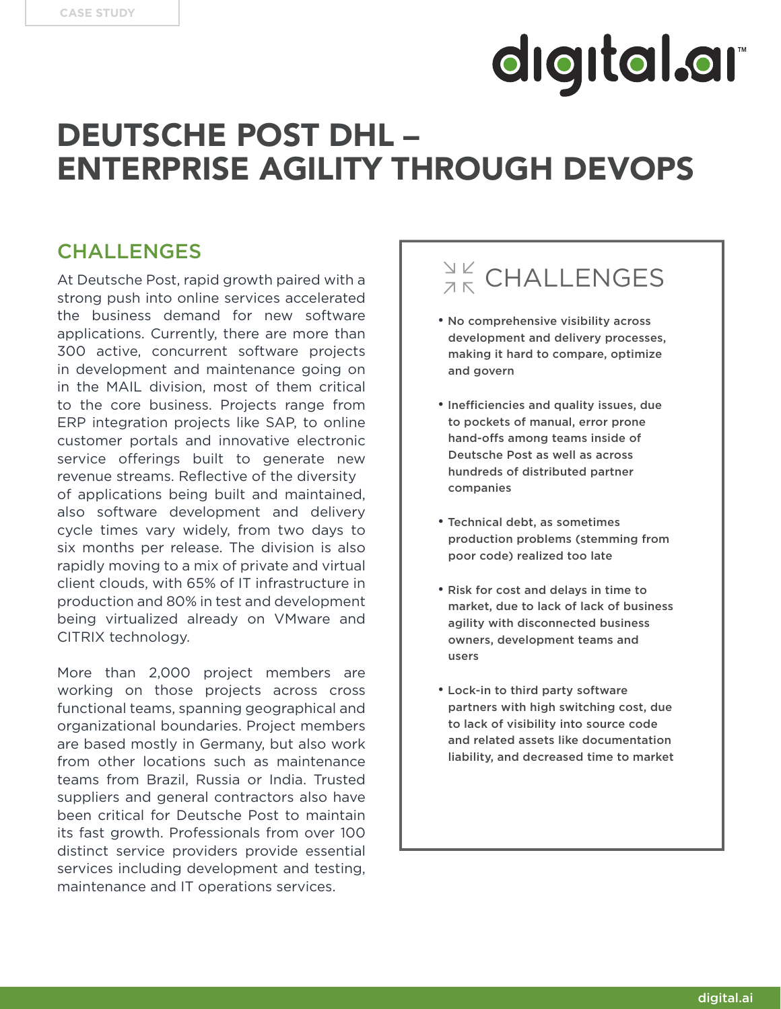### DEUTSCHE POST DHL – ENTERPRISE AGILITY THROUGH DEVOPS

#### CHALLENGES

At Deutsche Post, rapid growth paired with a strong push into online services accelerated the business demand for new software applications. Currently, there are more than 300 active, concurrent software projects in development and maintenance going on in the MAIL division, most of them critical to the core business. Projects range from ERP integration projects like SAP, to online customer portals and innovative electronic service offerings built to generate new revenue streams. Reflective of the diversity of applications being built and maintained, also software development and delivery cycle times vary widely, from two days to six months per release. The division is also rapidly moving to a mix of private and virtual client clouds, with 65% of IT infrastructure in production and 80% in test and development being virtualized already on VMware and CITRIX technology.

More than 2,000 project members are working on those projects across cross functional teams, spanning geographical and organizational boundaries. Project members are based mostly in Germany, but also work from other locations such as maintenance teams from Brazil, Russia or India. Trusted suppliers and general contractors also have been critical for Deutsche Post to maintain its fast growth. Professionals from over 100 distinct service providers provide essential services including development and testing, maintenance and IT operations services.

### $\frac{N}{2K}$  CHALLENGES

- No comprehensive visibility across development and delivery processes, making it hard to compare, optimize and govern
- Inefficiencies and quality issues, due to pockets of manual, error prone hand-offs among teams inside of Deutsche Post as well as across hundreds of distributed partner companies
- Technical debt, as sometimes production problems (stemming from poor code) realized too late
- Risk for cost and delays in time to market, due to lack of lack of business agility with disconnected business owners, development teams and users
- Lock-in to third party software partners with high switching cost, due to lack of visibility into source code and related assets like documentation liability, and decreased time to market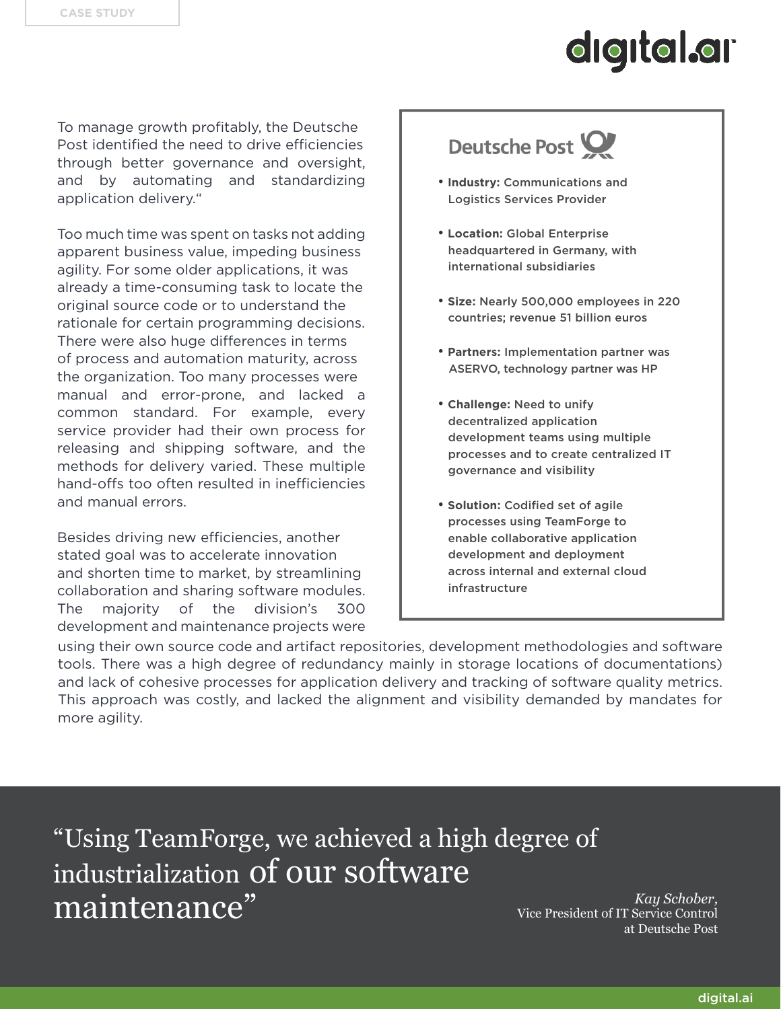To manage growth profitably, the Deutsche Post identified the need to drive efficiencies through better governance and oversight, and by automating and standardizing application delivery."

Too much time was spent on tasks not adding apparent business value, impeding business agility. For some older applications, it was already a time-consuming task to locate the original source code or to understand the rationale for certain programming decisions. There were also huge differences in terms of process and automation maturity, across the organization. Too many processes were manual and error-prone, and lacked a common standard. For example, every service provider had their own process for releasing and shipping software, and the methods for delivery varied. These multiple hand-offs too often resulted in inefficiencies and manual errors.

Besides driving new efficiencies, another stated goal was to accelerate innovation and shorten time to market, by streamlining collaboration and sharing software modules. The majority of the division's 300 development and maintenance projects were

### Deutsche Post

- **Industry:** Communications and Logistics Services Provider
- • **Location:** Global Enterprise headquartered in Germany, with international subsidiaries
- **Size:** Nearly 500,000 employees in 220 countries; revenue 51 billion euros
- **Partners:** Implementation partner was ASERVO, technology partner was HP
- **Challenge:** Need to unify decentralized application development teams using multiple processes and to create centralized IT governance and visibility
- **Solution:** Codified set of agile processes using TeamForge to enable collaborative application development and deployment across internal and external cloud infrastructure

using their own source code and artifact repositories, development methodologies and software tools. There was a high degree of redundancy mainly in storage locations of documentations) and lack of cohesive processes for application delivery and tracking of software quality metrics. This approach was costly, and lacked the alignment and visibility demanded by mandates for more agility.

"Using TeamForge, we achieved a high degree of industrialization of our software maintenance" *Kay Schober,*

Vice President of IT Service Control at Deutsche Post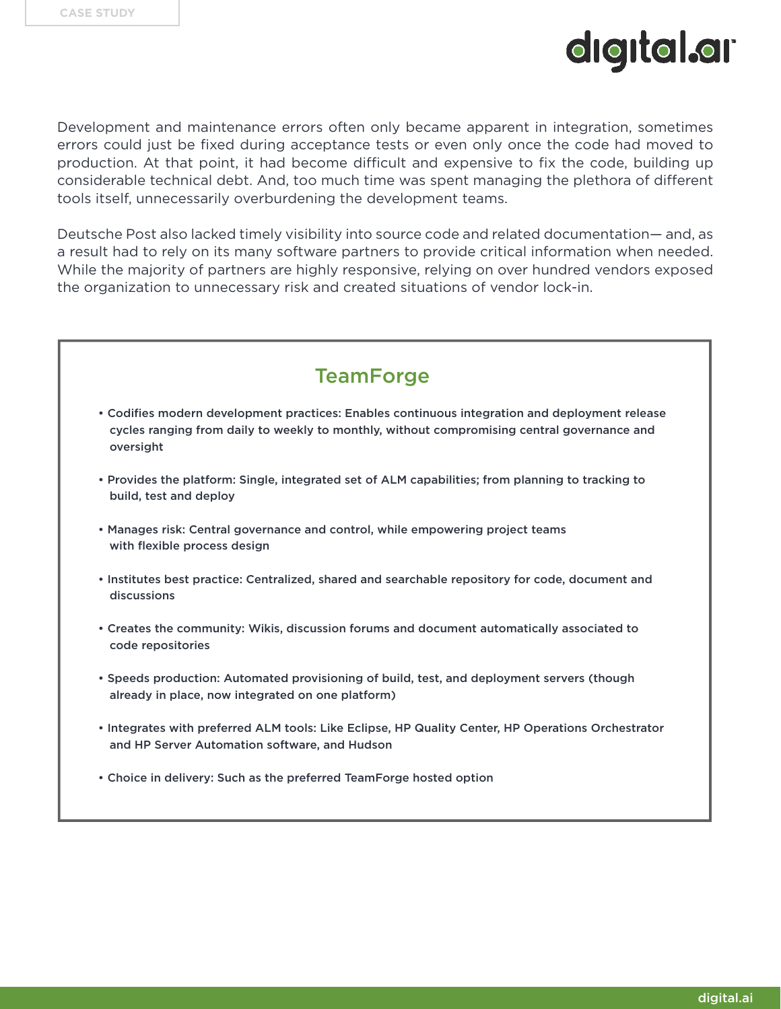Development and maintenance errors often only became apparent in integration, sometimes errors could just be fixed during acceptance tests or even only once the code had moved to production. At that point, it had become difficult and expensive to fix the code, building up considerable technical debt. And, too much time was spent managing the plethora of different tools itself, unnecessarily overburdening the development teams.

Deutsche Post also lacked timely visibility into source code and related documentation— and, as a result had to rely on its many software partners to provide critical information when needed. While the majority of partners are highly responsive, relying on over hundred vendors exposed the organization to unnecessary risk and created situations of vendor lock-in.



- Codifies modern development practices: Enables continuous integration and deployment release cycles ranging from daily to weekly to monthly, without compromising central governance and oversight
- Provides the platform: Single, integrated set of ALM capabilities; from planning to tracking to build, test and deploy
- Manages risk: Central governance and control, while empowering project teams with flexible process design
- Institutes best practice: Centralized, shared and searchable repository for code, document and discussions
- Creates the community: Wikis, discussion forums and document automatically associated to code repositories
- Speeds production: Automated provisioning of build, test, and deployment servers (though already in place, now integrated on one platform)
- Integrates with preferred ALM tools: Like Eclipse, HP Quality Center, HP Operations Orchestrator and HP Server Automation software, and Hudson
- Choice in delivery: Such as the preferred TeamForge hosted option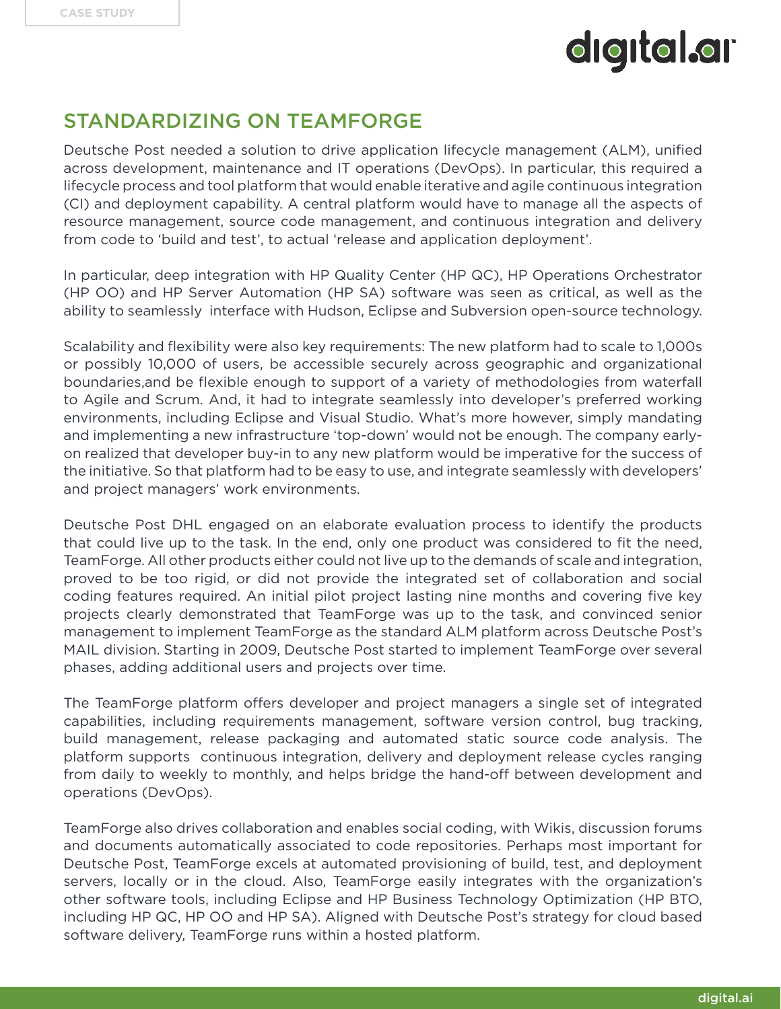#### STANDARDIZING ON TEAMFORGE

Deutsche Post needed a solution to drive application lifecycle management (ALM), unified across development, maintenance and IT operations (DevOps). In particular, this required a lifecycle process and tool platform that would enable iterative and agile continuous integration (CI) and deployment capability. A central platform would have to manage all the aspects of resource management, source code management, and continuous integration and delivery from code to 'build and test', to actual 'release and application deployment'.

In particular, deep integration with HP Quality Center (HP QC), HP Operations Orchestrator (HP OO) and HP Server Automation (HP SA) software was seen as critical, as well as the ability to seamlessly interface with Hudson, Eclipse and Subversion open-source technology.

Scalability and flexibility were also key requirements: The new platform had to scale to 1,000s or possibly 10,000 of users, be accessible securely across geographic and organizational boundaries,and be flexible enough to support of a variety of methodologies from waterfall to Agile and Scrum. And, it had to integrate seamlessly into developer's preferred working environments, including Eclipse and Visual Studio. What's more however, simply mandating and implementing a new infrastructure 'top-down' would not be enough. The company earlyon realized that developer buy-in to any new platform would be imperative for the success of the initiative. So that platform had to be easy to use, and integrate seamlessly with developers' and project managers' work environments.

Deutsche Post DHL engaged on an elaborate evaluation process to identify the products that could live up to the task. In the end, only one product was considered to fit the need, TeamForge. All other products either could not live up to the demands of scale and integration, proved to be too rigid, or did not provide the integrated set of collaboration and social coding features required. An initial pilot project lasting nine months and covering five key projects clearly demonstrated that TeamForge was up to the task, and convinced senior management to implement TeamForge as the standard ALM platform across Deutsche Post's MAIL division. Starting in 2009, Deutsche Post started to implement TeamForge over several phases, adding additional users and projects over time.

The TeamForge platform offers developer and project managers a single set of integrated capabilities, including requirements management, software version control, bug tracking, build management, release packaging and automated static source code analysis. The platform supports continuous integration, delivery and deployment release cycles ranging from daily to weekly to monthly, and helps bridge the hand-off between development and operations (DevOps).

TeamForge also drives collaboration and enables social coding, with Wikis, discussion forums and documents automatically associated to code repositories. Perhaps most important for Deutsche Post, TeamForge excels at automated provisioning of build, test, and deployment servers, locally or in the cloud. Also, TeamForge easily integrates with the organization's other software tools, including Eclipse and HP Business Technology Optimization (HP BTO, including HP QC, HP OO and HP SA). Aligned with Deutsche Post's strategy for cloud based software delivery, TeamForge runs within a hosted platform.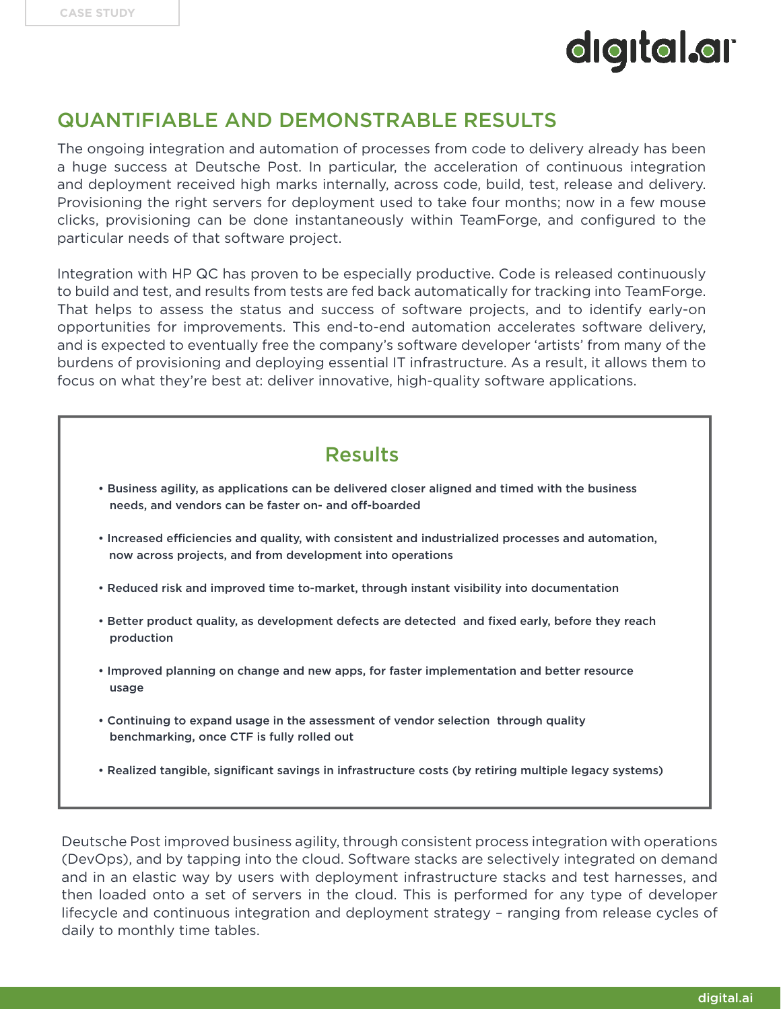#### QUANTIFIABLE AND DEMONSTRABLE RESULTS

The ongoing integration and automation of processes from code to delivery already has been a huge success at Deutsche Post. In particular, the acceleration of continuous integration and deployment received high marks internally, across code, build, test, release and delivery. Provisioning the right servers for deployment used to take four months; now in a few mouse clicks, provisioning can be done instantaneously within TeamForge, and configured to the particular needs of that software project.

Integration with HP QC has proven to be especially productive. Code is released continuously to build and test, and results from tests are fed back automatically for tracking into TeamForge. That helps to assess the status and success of software projects, and to identify early-on opportunities for improvements. This end-to-end automation accelerates software delivery, and is expected to eventually free the company's software developer 'artists' from many of the burdens of provisioning and deploying essential IT infrastructure. As a result, it allows them to focus on what they're best at: deliver innovative, high-quality software applications.

#### Results

- Business agility, as applications can be delivered closer aligned and timed with the business needs, and vendors can be faster on- and off-boarded
- Increased efficiencies and quality, with consistent and industrialized processes and automation, now across projects, and from development into operations
- Reduced risk and improved time to-market, through instant visibility into documentation
- Better product quality, as development defects are detected and fixed early, before they reach production
- Improved planning on change and new apps, for faster implementation and better resource usage
- Continuing to expand usage in the assessment of vendor selection through quality benchmarking, once CTF is fully rolled out
- Realized tangible, significant savings in infrastructure costs (by retiring multiple legacy systems)

Deutsche Post improved business agility, through consistent process integration with operations (DevOps), and by tapping into the cloud. Software stacks are selectively integrated on demand and in an elastic way by users with deployment infrastructure stacks and test harnesses, and then loaded onto a set of servers in the cloud. This is performed for any type of developer lifecycle and continuous integration and deployment strategy – ranging from release cycles of daily to monthly time tables.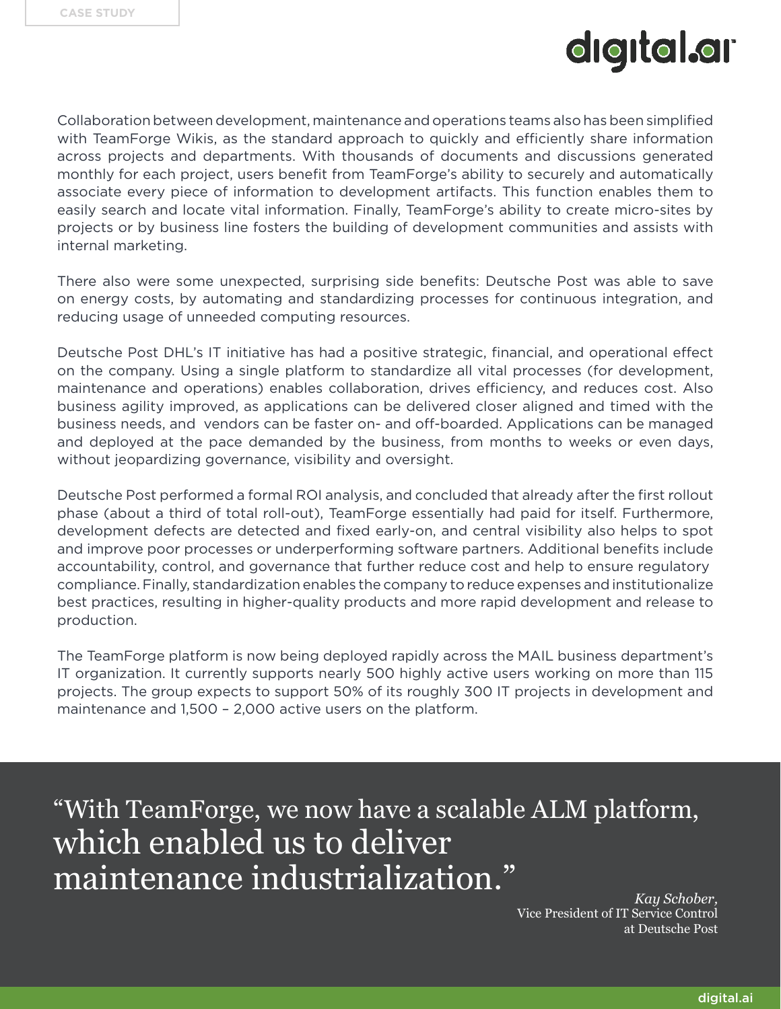Collaboration between development, maintenance and operations teams also has been simplified with TeamForge Wikis, as the standard approach to quickly and efficiently share information across projects and departments. With thousands of documents and discussions generated monthly for each project, users benefit from TeamForge's ability to securely and automatically associate every piece of information to development artifacts. This function enables them to easily search and locate vital information. Finally, TeamForge's ability to create micro-sites by projects or by business line fosters the building of development communities and assists with internal marketing.

There also were some unexpected, surprising side benefits: Deutsche Post was able to save on energy costs, by automating and standardizing processes for continuous integration, and reducing usage of unneeded computing resources.

Deutsche Post DHL's IT initiative has had a positive strategic, financial, and operational effect on the company. Using a single platform to standardize all vital processes (for development, maintenance and operations) enables collaboration, drives efficiency, and reduces cost. Also business agility improved, as applications can be delivered closer aligned and timed with the business needs, and vendors can be faster on- and off-boarded. Applications can be managed and deployed at the pace demanded by the business, from months to weeks or even days, without jeopardizing governance, visibility and oversight.

Deutsche Post performed a formal ROI analysis, and concluded that already after the first rollout phase (about a third of total roll-out), TeamForge essentially had paid for itself. Furthermore, development defects are detected and fixed early-on, and central visibility also helps to spot and improve poor processes or underperforming software partners. Additional benefits include accountability, control, and governance that further reduce cost and help to ensure regulatory compliance. Finally, standardization enables the company to reduce expenses and institutionalize best practices, resulting in higher-quality products and more rapid development and release to production.

The TeamForge platform is now being deployed rapidly across the MAIL business department's IT organization. It currently supports nearly 500 highly active users working on more than 115 projects. The group expects to support 50% of its roughly 300 IT projects in development and maintenance and 1,500 – 2,000 active users on the platform.

"With TeamForge, we now have a scalable ALM platform, which enabled us to deliver maintenance industrialization."

*Kay Schober,* Vice President of IT Service Control at Deutsche Post